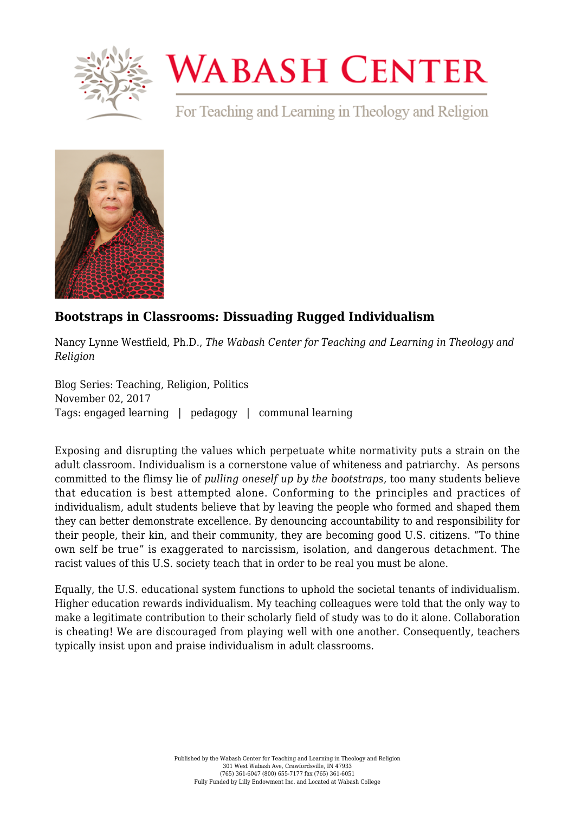

## **WABASH CENTER**

For Teaching and Learning in Theology and Religion



## **[Bootstraps in Classrooms: Dissuading Rugged Individualism](https://www.wabashcenter.wabash.edu/2017/11/bootstraps-classrooms-dissuading-rugged-individualism/)**

Nancy Lynne Westfield, Ph.D., *The Wabash Center for Teaching and Learning in Theology and Religion*

Blog Series: Teaching, Religion, Politics November 02, 2017 Tags: engaged learning | pedagogy | communal learning

Exposing and disrupting the values which perpetuate white normativity puts a strain on the adult classroom. Individualism is a cornerstone value of whiteness and patriarchy. As persons committed to the flimsy lie of *pulling oneself up by the bootstraps,* too many students believe that education is best attempted alone. Conforming to the principles and practices of individualism, adult students believe that by leaving the people who formed and shaped them they can better demonstrate excellence. By denouncing accountability to and responsibility for their people, their kin, and their community, they are becoming good U.S. citizens. "To thine own self be true" is exaggerated to narcissism, isolation, and dangerous detachment. The racist values of this U.S. society teach that in order to be real you must be alone.

Equally, the U.S. educational system functions to uphold the societal tenants of individualism. Higher education rewards individualism. My teaching colleagues were told that the only way to make a legitimate contribution to their scholarly field of study was to do it alone. Collaboration is cheating! We are discouraged from playing well with one another. Consequently, teachers typically insist upon and praise individualism in adult classrooms.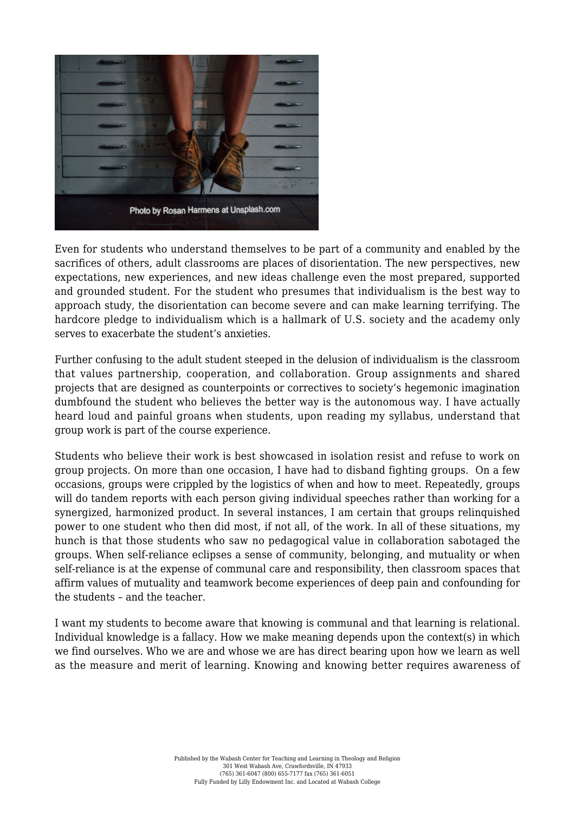

Even for students who understand themselves to be part of a community and enabled by the sacrifices of others, adult classrooms are places of disorientation. The new perspectives, new expectations, new experiences, and new ideas challenge even the most prepared, supported and grounded student. For the student who presumes that individualism is the best way to approach study, the disorientation can become severe and can make learning terrifying. The hardcore pledge to individualism which is a hallmark of U.S. society and the academy only serves to exacerbate the student's anxieties.

Further confusing to the adult student steeped in the delusion of individualism is the classroom that values partnership, cooperation, and collaboration. Group assignments and shared projects that are designed as counterpoints or correctives to society's hegemonic imagination dumbfound the student who believes the better way is the autonomous way. I have actually heard loud and painful groans when students, upon reading my syllabus, understand that group work is part of the course experience.

Students who believe their work is best showcased in isolation resist and refuse to work on group projects. On more than one occasion, I have had to disband fighting groups. On a few occasions, groups were crippled by the logistics of when and how to meet. Repeatedly, groups will do tandem reports with each person giving individual speeches rather than working for a synergized, harmonized product. In several instances, I am certain that groups relinquished power to one student who then did most, if not all, of the work. In all of these situations, my hunch is that those students who saw no pedagogical value in collaboration sabotaged the groups. When self-reliance eclipses a sense of community, belonging, and mutuality or when self-reliance is at the expense of communal care and responsibility, then classroom spaces that affirm values of mutuality and teamwork become experiences of deep pain and confounding for the students – and the teacher.

I want my students to become aware that knowing is communal and that learning is relational. Individual knowledge is a fallacy. How we make meaning depends upon the context(s) in which we find ourselves. Who we are and whose we are has direct bearing upon how we learn as well as the measure and merit of learning. Knowing and knowing better requires awareness of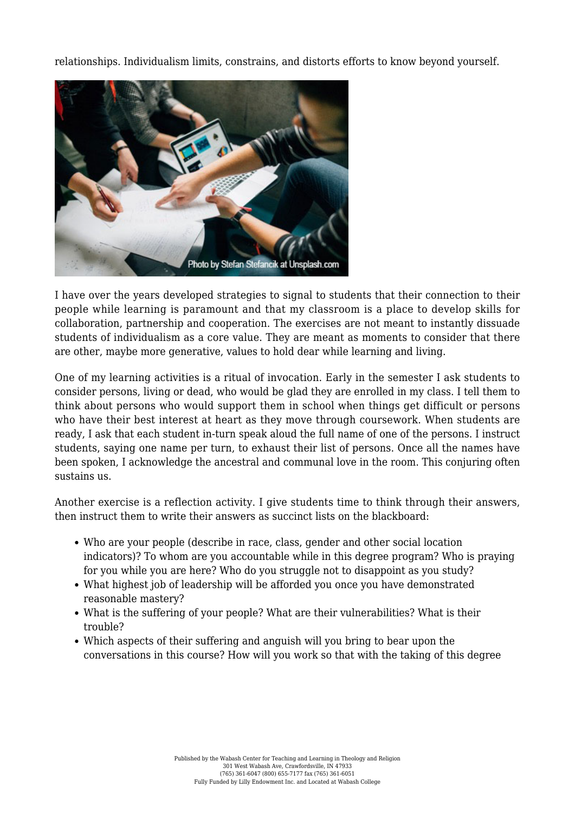relationships. Individualism limits, constrains, and distorts efforts to know beyond yourself.



I have over the years developed strategies to signal to students that their connection to their people while learning is paramount and that my classroom is a place to develop skills for collaboration, partnership and cooperation. The exercises are not meant to instantly dissuade students of individualism as a core value. They are meant as moments to consider that there are other, maybe more generative, values to hold dear while learning and living.

One of my learning activities is a ritual of invocation. Early in the semester I ask students to consider persons, living or dead, who would be glad they are enrolled in my class. I tell them to think about persons who would support them in school when things get difficult or persons who have their best interest at heart as they move through coursework. When students are ready, I ask that each student in-turn speak aloud the full name of one of the persons. I instruct students, saying one name per turn, to exhaust their list of persons. Once all the names have been spoken, I acknowledge the ancestral and communal love in the room. This conjuring often sustains us.

Another exercise is a reflection activity. I give students time to think through their answers, then instruct them to write their answers as succinct lists on the blackboard:

- Who are your people (describe in race, class, gender and other social location indicators)? To whom are you accountable while in this degree program? Who is praying for you while you are here? Who do you struggle not to disappoint as you study?
- What highest job of leadership will be afforded you once you have demonstrated reasonable mastery?
- What is the suffering of your people? What are their vulnerabilities? What is their trouble?
- Which aspects of their suffering and anguish will you bring to bear upon the conversations in this course? How will you work so that with the taking of this degree